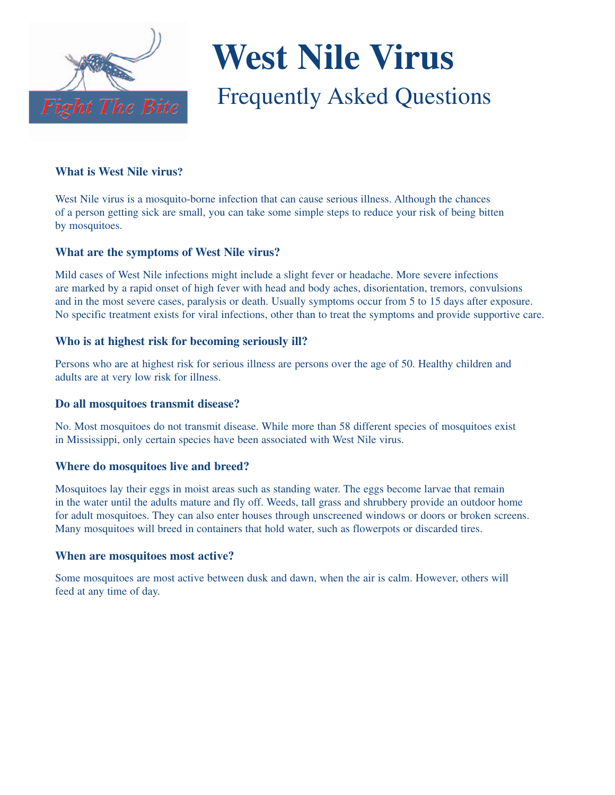

# **West Nile Virus** Frequently Asked Questions

# **What is West Nile virus?**

West Nile virus is a mosquito-borne infection that can cause serious illness. Although the chances of a person getting sick are small, you can take some simple steps to reduce your risk of being bitten by mosquitoes.

# **What are the symptoms of West Nile virus?**

Mild cases of West Nile infections might include a slight fever or headache. More severe infections are marked by a rapid onset of high fever with head and body aches, disorientation, tremors, convulsions and in the most severe cases, paralysis or death. Usually symptoms occur from 5 to 15 days after exposure. No specific treatment exists for viral infections, other than to treat the symptoms and provide supportive care.

# **Who is at highest risk for becoming seriously ill?**

Persons who are at highest risk for serious illness are persons over the age of 50. Healthy children and adults are at very low risk for illness.

### **Do all mosquitoes transmit disease?**

No. Most mosquitoes do not transmit disease. While more than 58 different species of mosquitoes exist in Mississippi, only certain species have been associated with West Nile virus.

# **Where do mosquitoes live and breed?**

Mosquitoes lay their eggs in moist areas such as standing water. The eggs become larvae that remain in the water until the adults mature and fly off. Weeds, tall grass and shrubbery provide an outdoor home for adult mosquitoes. They can also enter houses through unscreened windows or doors or broken screens. Many mosquitoes will breed in containers that hold water, such as flowerpots or discarded tires.

### **When are mosquitoes most active?**

Some mosquitoes are most active between dusk and dawn, when the air is calm. However, others will feed at any time of day.